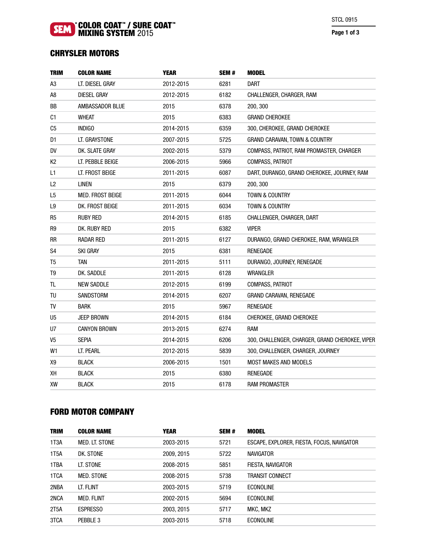## COLOR COAT™ / SURE COAT™ MIXING SYSTEM 2015

Page 1 of 3

# CHRYSLER MOTORS

| <b>TRIM</b>    | <b>COLOR NAME</b>   | <b>YEAR</b> | SEM# | <b>MODEL</b>                                    |
|----------------|---------------------|-------------|------|-------------------------------------------------|
| A3             | lt. Diesel Gray     | 2012-2015   | 6281 | <b>DART</b>                                     |
| A8             | <b>DIESEL GRAY</b>  | 2012-2015   | 6182 | CHALLENGER, CHARGER, RAM                        |
| ВB             | AMBASSADOR BLUE     | 2015        | 6378 | 200, 300                                        |
| C1             | <b>WHEAT</b>        | 2015        | 6383 | <b>GRAND CHEROKEE</b>                           |
| C5             | <b>INDIGO</b>       | 2014-2015   | 6359 | 300, CHEROKEE, GRAND CHEROKEE                   |
| D1             | LT. GRAYSTONE       | 2007-2015   | 5725 | <b>GRAND CARAVAN, TOWN &amp; COUNTRY</b>        |
| DV             | DK. SLATE GRAY      | 2002-2015   | 5379 | COMPASS, PATRIOT, RAM PROMASTER, CHARGER        |
| К2             | LT. PEBBLE BEIGE    | 2006-2015   | 5966 | COMPASS, PATRIOT                                |
| L1             | LT. FROST BEIGE     | 2011-2015   | 6087 | DART, DURANGO, GRAND CHEROKEE, JOURNEY, RAM     |
| L2             | <b>LINEN</b>        | 2015        | 6379 | 200, 300                                        |
| L5             | MED. FROST BEIGE    | 2011-2015   | 6044 | TOWN & COUNTRY                                  |
| L9             | DK. FROST BEIGE     | 2011-2015   | 6034 | TOWN & COUNTRY                                  |
| R5             | <b>RUBY RED</b>     | 2014-2015   | 6185 | CHALLENGER, CHARGER, DART                       |
| R9             | dk. Ruby Red        | 2015        | 6382 | <b>VIPER</b>                                    |
| RR             | RADAR RED           | 2011-2015   | 6127 | DURANGO, GRAND CHEROKEE, RAM, WRANGLER          |
| S <sub>4</sub> | <b>SKI GRAY</b>     | 2015        | 6381 | <b>RENEGADE</b>                                 |
| T <sub>5</sub> | tan                 | 2011-2015   | 5111 | DURANGO, JOURNEY, RENEGADE                      |
| T <sub>9</sub> | DK. SADDLE          | 2011-2015   | 6128 | WRANGLER                                        |
| TL.            | <b>NEW SADDLE</b>   | 2012-2015   | 6199 | COMPASS, PATRIOT                                |
| TU             | SANDSTORM           | 2014-2015   | 6207 | GRAND CARAVAN, RENEGADE                         |
| TV             | <b>BARK</b>         | 2015        | 5967 | <b>RENEGADE</b>                                 |
| U5             | <b>JEEP BROWN</b>   | 2014-2015   | 6184 | CHEROKEE, GRAND CHEROKEE                        |
| U7             | <b>CANYON BROWN</b> | 2013-2015   | 6274 | <b>RAM</b>                                      |
| V5             | <b>SEPIA</b>        | 2014-2015   | 6206 | 300, CHALLENGER, CHARGER, GRAND CHEROKEE, VIPER |
| W <sub>1</sub> | LT. PEARL           | 2012-2015   | 5839 | 300, CHALLENGER, CHARGER, JOURNEY               |
| Х9             | <b>BLACK</b>        | 2006-2015   | 1501 | <b>MOST MAKES AND MODELS</b>                    |
| XН             | <b>BLACK</b>        | 2015        | 6380 | RENEGADE                                        |
| XW             | <b>BLACK</b>        | 2015        | 6178 | RAM PROMASTER                                   |

# FORD MOTOR COMPANY

| <b>COLOR NAME</b> | <b>YEAR</b> | SEM# | MODEL                                      |
|-------------------|-------------|------|--------------------------------------------|
| MED. LT. STONE    | 2003-2015   | 5721 | ESCAPE, EXPLORER, FIESTA, FOCUS, NAVIGATOR |
| DK. STONE         | 2009, 2015  | 5722 | <b>NAVIGATOR</b>                           |
| LT. STONE         | 2008-2015   | 5851 | FIESTA, NAVIGATOR                          |
| <b>MED. STONE</b> | 2008-2015   | 5738 | TRANSIT CONNECT                            |
| LT. FLINT         | 2003-2015   | 5719 | ECONOLINE                                  |
| <b>MED. FLINT</b> | 2002-2015   | 5694 | <b>ECONOLINE</b>                           |
| <b>ESPRESSO</b>   | 2003, 2015  | 5717 | MKC, MKZ                                   |
| PEBBLE 3          | 2003-2015   | 5718 | <b>ECONOLINE</b>                           |
|                   |             |      |                                            |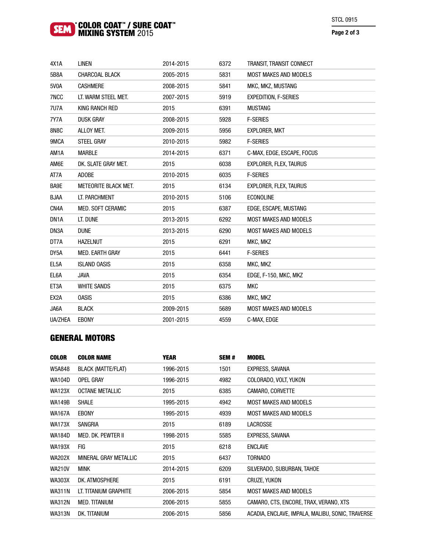## COLOR COAT™ / SURE COAT™ MIXING SYSTEM 2015

## Page 2 of 3

| 4X1A              | <b>LINEN</b>                | 2014-2015 | 6372 | TRANSIT, TRANSIT CONNECT      |
|-------------------|-----------------------------|-----------|------|-------------------------------|
| 5B8A              | CHARCOAL BLACK              | 2005-2015 | 5831 | <b>MOST MAKES AND MODELS</b>  |
| 5V0A              | <b>CASHMERE</b>             | 2008-2015 | 5841 | MKC, MKZ, MUSTANG             |
| 7NCC              | LT. WARM STEEL MET.         | 2007-2015 | 5919 | <b>EXPEDITION, F-SERIES</b>   |
| 7U7A              | KING RANCH RED              | 2015      | 6391 | <b>MUSTANG</b>                |
| 7Y7A              | <b>DUSK GRAY</b>            | 2008-2015 | 5928 | <b>F-SERIES</b>               |
| 8N8C              | ALLOY MET.                  | 2009-2015 | 5956 | <b>EXPLORER, MKT</b>          |
| 9MCA              | STEEL GRAY                  | 2010-2015 | 5982 | <b>F-SERIES</b>               |
| AM1A              | <b>MARBLE</b>               | 2014-2015 | 6371 | C-MAX, EDGE, ESCAPE, FOCUS    |
| AM6E              | DK. SLATE GRAY MET.         | 2015      | 6038 | <b>EXPLORER, FLEX, TAURUS</b> |
| AT7A              | <b>ADOBE</b>                | 2010-2015 | 6035 | <b>F-SERIES</b>               |
| BA9E              | <b>METEORITE BLACK MET.</b> | 2015      | 6134 | <b>EXPLORER, FLEX, TAURUS</b> |
| <b>BJAA</b>       | LT. PARCHMENT               | 2010-2015 | 5106 | <b>ECONOLINE</b>              |
| CN4A              | MED. SOFT CERAMIC           | 2015      | 6387 | EDGE, ESCAPE, MUSTANG         |
| DN <sub>1</sub> A | LT. DUNE                    | 2013-2015 | 6292 | <b>MOST MAKES AND MODELS</b>  |
| DN3A              | <b>DUNE</b>                 | 2013-2015 | 6290 | <b>MOST MAKES AND MODELS</b>  |
| DT7A              | <b>HAZELNUT</b>             | 2015      | 6291 | MKC, MKZ                      |
| DY5A              | MED. EARTH GRAY             | 2015      | 6441 | <b>F-SERIES</b>               |
| EL <sub>5</sub> A | <b>ISLAND OASIS</b>         | 2015      | 6358 | MKC, MKZ                      |
| EL6A              | <b>JAVA</b>                 | 2015      | 6354 | EDGE, F-150, MKC, MKZ         |
| ET3A              | <b>WHITE SANDS</b>          | 2015      | 6375 | <b>MKC</b>                    |
| EX2A              | <b>OASIS</b>                | 2015      | 6386 | MKC, MKZ                      |
| JA6A              | <b>BLACK</b>                | 2009-2015 | 5689 | <b>MOST MAKES AND MODELS</b>  |
| UA/ZHEA           | <b>EBONY</b>                | 2001-2015 | 4559 | C-MAX, EDGE                   |

# GENERAL MOTORS

| <b>COLOR</b>  | <b>COLOR NAME</b>         | <b>YEAR</b> | SEM# | <b>MODEL</b>                                     |
|---------------|---------------------------|-------------|------|--------------------------------------------------|
| W5A848        | <b>BLACK (MATTE/FLAT)</b> | 1996-2015   | 1501 | EXPRESS, SAVANA                                  |
| <b>WA104D</b> | <b>OPEL GRAY</b>          | 1996-2015   | 4982 | COLORADO, VOLT, YUKON                            |
| <b>WA123X</b> | <b>OCTANE METALLIC</b>    | 2015        | 6385 | CAMARO, CORVETTE                                 |
| <b>WA149B</b> | <b>SHALE</b>              | 1995-2015   | 4942 | <b>MOST MAKES AND MODELS</b>                     |
| <b>WA167A</b> | <b>EBONY</b>              | 1995-2015   | 4939 | <b>MOST MAKES AND MODELS</b>                     |
| <b>WA173X</b> | SANGRIA                   | 2015        | 6189 | <b>LACROSSE</b>                                  |
| <b>WA184D</b> | <b>MED. DK. PEWTER II</b> | 1998-2015   | 5585 | EXPRESS, SAVANA                                  |
| <b>WA193X</b> | FIG                       | 2015        | 6218 | <b>ENCLAVE</b>                                   |
| <b>WA202X</b> | MINERAL GRAY METALLIC     | 2015        | 6437 | <b>TORNADO</b>                                   |
| <b>WA210V</b> | <b>MINK</b>               | 2014-2015   | 6209 | SILVERADO, SUBURBAN, TAHOE                       |
| <b>WA303X</b> | DK. ATMOSPHERE            | 2015        | 6191 | CRUZE, YUKON                                     |
| <b>WA311N</b> | LT. TITANIUM GRAPHITE     | 2006-2015   | 5854 | <b>MOST MAKES AND MODELS</b>                     |
| <b>WA312N</b> | <b>MED. TITANIUM</b>      | 2006-2015   | 5855 | CAMARO, CTS, ENCORE, TRAX, VERANO, XTS           |
| <b>WA313N</b> | DK. TITANIUM              | 2006-2015   | 5856 | ACADIA, ENCLAVE, IMPALA, MALIBU, SONIC, TRAVERSE |